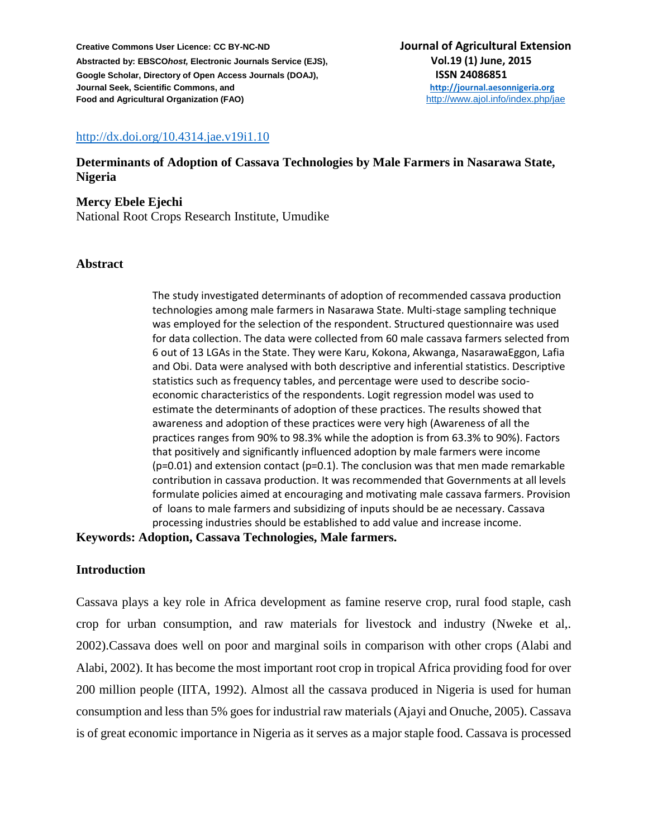## <http://dx.doi.org/10.4314.jae.v19i1.10>

## **Determinants of Adoption of Cassava Technologies by Male Farmers in Nasarawa State, Nigeria**

**Mercy Ebele Ejechi**  National Root Crops Research Institute, Umudike

#### **Abstract**

The study investigated determinants of adoption of recommended cassava production technologies among male farmers in Nasarawa State. Multi-stage sampling technique was employed for the selection of the respondent. Structured questionnaire was used for data collection. The data were collected from 60 male cassava farmers selected from 6 out of 13 LGAs in the State. They were Karu, Kokona, Akwanga, NasarawaEggon, Lafia and Obi. Data were analysed with both descriptive and inferential statistics. Descriptive statistics such as frequency tables, and percentage were used to describe socioeconomic characteristics of the respondents. Logit regression model was used to estimate the determinants of adoption of these practices. The results showed that awareness and adoption of these practices were very high (Awareness of all the practices ranges from 90% to 98.3% while the adoption is from 63.3% to 90%). Factors that positively and significantly influenced adoption by male farmers were income  $(p=0.01)$  and extension contact  $(p=0.1)$ . The conclusion was that men made remarkable contribution in cassava production. It was recommended that Governments at all levels formulate policies aimed at encouraging and motivating male cassava farmers. Provision of loans to male farmers and subsidizing of inputs should be ae necessary. Cassava processing industries should be established to add value and increase income.

#### **Keywords: Adoption, Cassava Technologies, Male farmers.**

#### **Introduction**

Cassava plays a key role in Africa development as famine reserve crop, rural food staple, cash crop for urban consumption, and raw materials for livestock and industry (Nweke et al,. 2002).Cassava does well on poor and marginal soils in comparison with other crops (Alabi and Alabi, 2002). It has become the most important root crop in tropical Africa providing food for over 200 million people (IITA, 1992). Almost all the cassava produced in Nigeria is used for human consumption and less than 5% goes for industrial raw materials (Ajayi and Onuche, 2005). Cassava is of great economic importance in Nigeria as it serves as a major staple food. Cassava is processed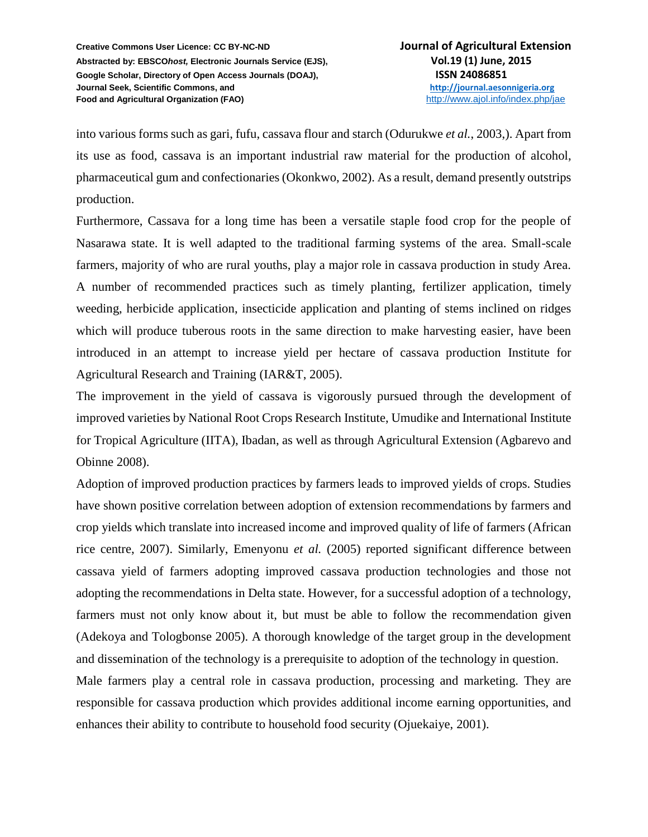into various forms such as gari, fufu, cassava flour and starch (Odurukwe *et al.*, 2003,). Apart from its use as food, cassava is an important industrial raw material for the production of alcohol, pharmaceutical gum and confectionaries (Okonkwo, 2002). As a result, demand presently outstrips production.

Furthermore, Cassava for a long time has been a versatile staple food crop for the people of Nasarawa state. It is well adapted to the traditional farming systems of the area. Small-scale farmers, majority of who are rural youths, play a major role in cassava production in study Area. A number of recommended practices such as timely planting, fertilizer application, timely weeding, herbicide application, insecticide application and planting of stems inclined on ridges which will produce tuberous roots in the same direction to make harvesting easier, have been introduced in an attempt to increase yield per hectare of cassava production Institute for Agricultural Research and Training (IAR&T, 2005).

The improvement in the yield of cassava is vigorously pursued through the development of improved varieties by National Root Crops Research Institute, Umudike and International Institute for Tropical Agriculture (IITA), Ibadan, as well as through Agricultural Extension (Agbarevo and Obinne 2008).

Adoption of improved production practices by farmers leads to improved yields of crops. Studies have shown positive correlation between adoption of extension recommendations by farmers and crop yields which translate into increased income and improved quality of life of farmers (African rice centre, 2007). Similarly, Emenyonu *et al.* (2005) reported significant difference between cassava yield of farmers adopting improved cassava production technologies and those not adopting the recommendations in Delta state. However, for a successful adoption of a technology, farmers must not only know about it, but must be able to follow the recommendation given (Adekoya and Tologbonse 2005). A thorough knowledge of the target group in the development and dissemination of the technology is a prerequisite to adoption of the technology in question.

Male farmers play a central role in cassava production, processing and marketing. They are responsible for cassava production which provides additional income earning opportunities, and enhances their ability to contribute to household food security (Ojuekaiye, 2001).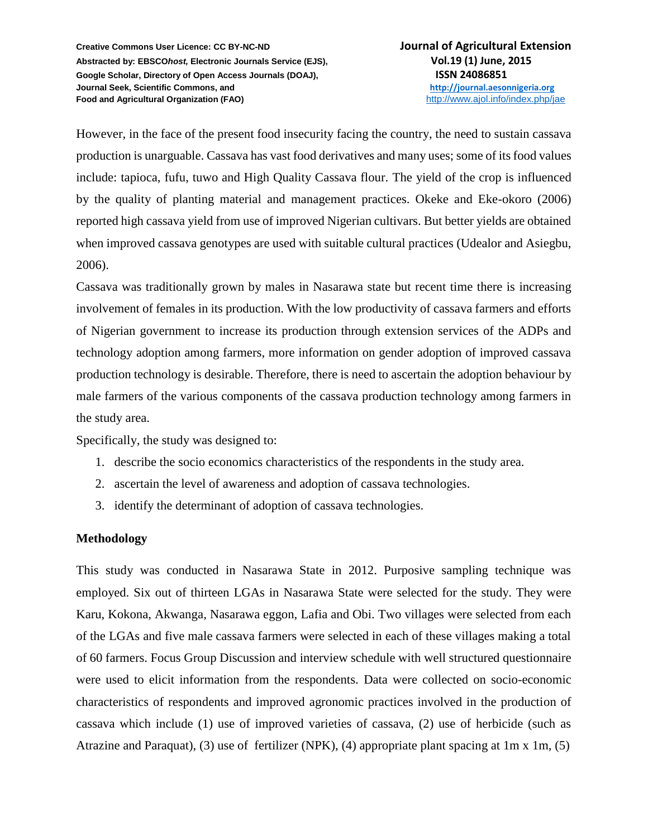However, in the face of the present food insecurity facing the country, the need to sustain cassava production is unarguable. Cassava has vast food derivatives and many uses; some of its food values include: tapioca, fufu, tuwo and High Quality Cassava flour. The yield of the crop is influenced by the quality of planting material and management practices. Okeke and Eke-okoro (2006) reported high cassava yield from use of improved Nigerian cultivars. But better yields are obtained when improved cassava genotypes are used with suitable cultural practices (Udealor and Asiegbu, 2006).

Cassava was traditionally grown by males in Nasarawa state but recent time there is increasing involvement of females in its production. With the low productivity of cassava farmers and efforts of Nigerian government to increase its production through extension services of the ADPs and technology adoption among farmers, more information on gender adoption of improved cassava production technology is desirable. Therefore, there is need to ascertain the adoption behaviour by male farmers of the various components of the cassava production technology among farmers in the study area.

Specifically, the study was designed to:

- 1. describe the socio economics characteristics of the respondents in the study area.
- 2. ascertain the level of awareness and adoption of cassava technologies.
- 3. identify the determinant of adoption of cassava technologies.

## **Methodology**

This study was conducted in Nasarawa State in 2012. Purposive sampling technique was employed. Six out of thirteen LGAs in Nasarawa State were selected for the study. They were Karu, Kokona, Akwanga, Nasarawa eggon, Lafia and Obi. Two villages were selected from each of the LGAs and five male cassava farmers were selected in each of these villages making a total of 60 farmers. Focus Group Discussion and interview schedule with well structured questionnaire were used to elicit information from the respondents. Data were collected on socio-economic characteristics of respondents and improved agronomic practices involved in the production of cassava which include (1) use of improved varieties of cassava, (2) use of herbicide (such as Atrazine and Paraquat), (3) use of fertilizer (NPK), (4) appropriate plant spacing at 1m x 1m, (5)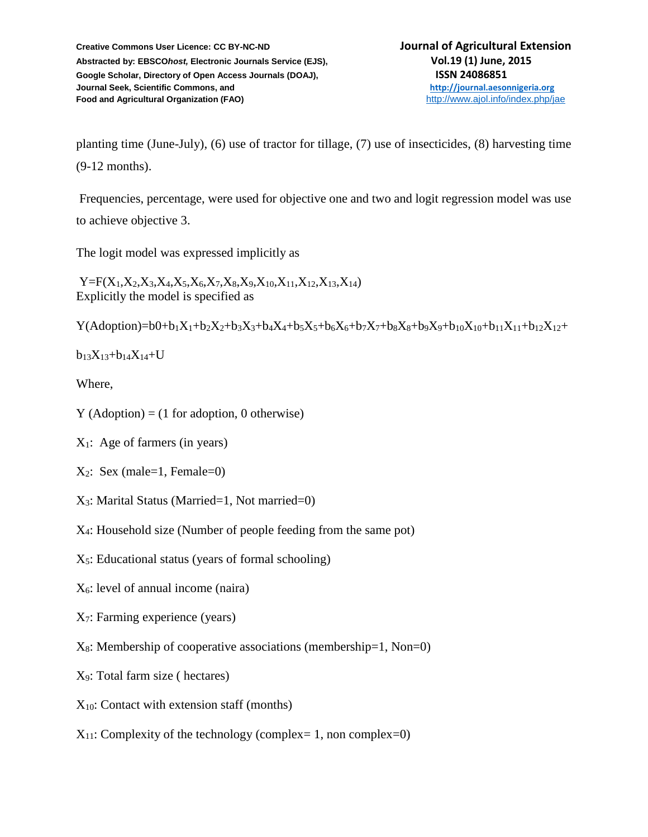planting time (June-July), (6) use of tractor for tillage, (7) use of insecticides, (8) harvesting time (9-12 months).

Frequencies, percentage, were used for objective one and two and logit regression model was use to achieve objective 3.

The logit model was expressed implicitly as

 $Y = F(X_1, X_2, X_3, X_4, X_5, X_6, X_7, X_8, X_9, X_{10}, X_{11}, X_{12}, X_{13}, X_{14})$ Explicitly the model is specified as

 $Y(Adoption)=b0+b_1X_1+b_2X_2+b_3X_3+b_4X_4+b_5X_5+b_6X_6+b_7X_7+b_8X_8+b_9X_9+b_{10}X_{10}+b_{11}X_{11}+b_{12}X_{12}+$ 

 $b_{13}X_{13}+b_{14}X_{14}+U$ 

Where,

- $Y$  (Adoption) = (1 for adoption, 0 otherwise)
- $X_1$ : Age of farmers (in years)
- $X_2$ : Sex (male=1, Female=0)
- X3: Marital Status (Married=1, Not married=0)
- X4: Household size (Number of people feeding from the same pot)
- $X_5$ : Educational status (years of formal schooling)
- X6: level of annual income (naira)
- X7: Farming experience (years)
- $X_8$ : Membership of cooperative associations (membership=1, Non=0)
- X9: Total farm size ( hectares)
- $X_{10}$ : Contact with extension staff (months)
- $X_{11}$ : Complexity of the technology (complex= 1, non complex=0)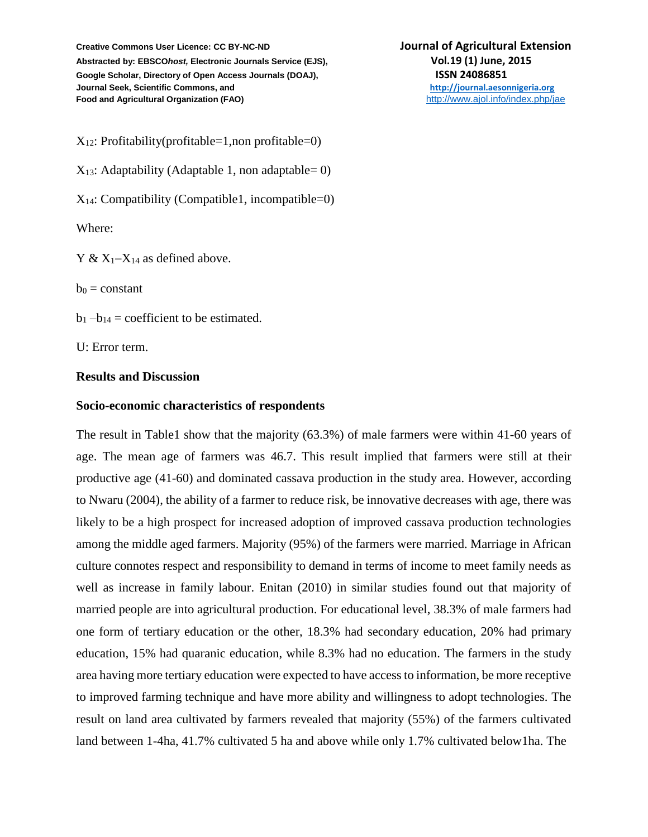$X_{12}$ : Profitability(profitable=1,non profitable=0)  $X_{13}$ : Adaptability (Adaptable 1, non adaptable = 0)  $X_{14}$ : Compatibility (Compatible1, incompatible=0) Where:

 $Y & X_1 - X_{14}$  as defined above.

 $b_0$  = constant

 $b_1 - b_{14} =$  coefficient to be estimated.

U: Error term.

#### **Results and Discussion**

#### **Socio-economic characteristics of respondents**

The result in Table1 show that the majority (63.3%) of male farmers were within 41-60 years of age. The mean age of farmers was 46.7. This result implied that farmers were still at their productive age (41-60) and dominated cassava production in the study area. However, according to Nwaru (2004), the ability of a farmer to reduce risk, be innovative decreases with age, there was likely to be a high prospect for increased adoption of improved cassava production technologies among the middle aged farmers. Majority (95%) of the farmers were married. Marriage in African culture connotes respect and responsibility to demand in terms of income to meet family needs as well as increase in family labour. Enitan (2010) in similar studies found out that majority of married people are into agricultural production. For educational level, 38.3% of male farmers had one form of tertiary education or the other, 18.3% had secondary education, 20% had primary education, 15% had quaranic education, while 8.3% had no education. The farmers in the study area having more tertiary education were expected to have access to information, be more receptive to improved farming technique and have more ability and willingness to adopt technologies. The result on land area cultivated by farmers revealed that majority (55%) of the farmers cultivated land between 1-4ha, 41.7% cultivated 5 ha and above while only 1.7% cultivated below1ha. The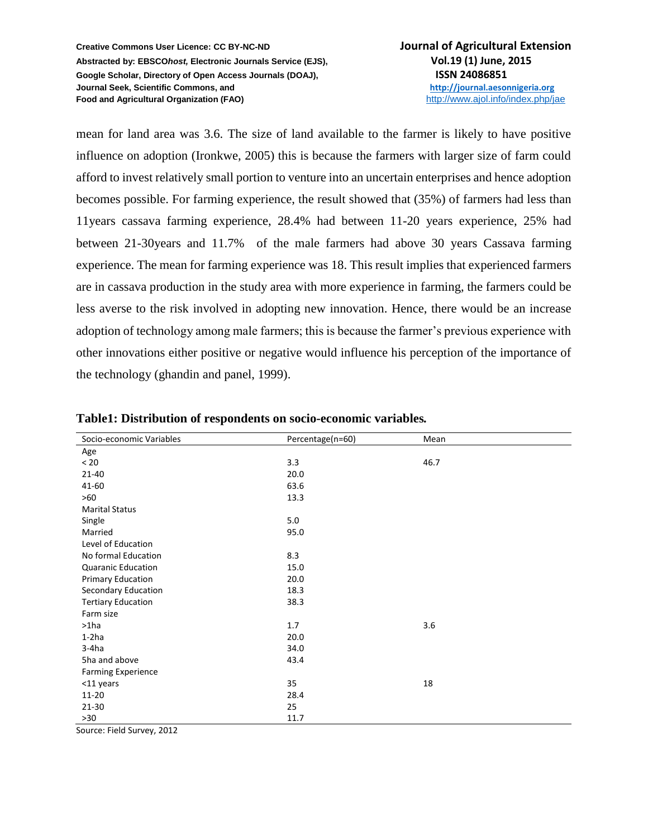mean for land area was 3.6. The size of land available to the farmer is likely to have positive influence on adoption (Ironkwe, 2005) this is because the farmers with larger size of farm could afford to invest relatively small portion to venture into an uncertain enterprises and hence adoption becomes possible. For farming experience, the result showed that (35%) of farmers had less than 11years cassava farming experience, 28.4% had between 11-20 years experience, 25% had between 21-30years and 11.7% of the male farmers had above 30 years Cassava farming experience. The mean for farming experience was 18. This result implies that experienced farmers are in cassava production in the study area with more experience in farming, the farmers could be less averse to the risk involved in adopting new innovation. Hence, there would be an increase adoption of technology among male farmers; this is because the farmer's previous experience with other innovations either positive or negative would influence his perception of the importance of the technology (ghandin and panel, 1999).

| Socio-economic Variables  | Percentage(n=60) | Mean |
|---------------------------|------------------|------|
| Age                       |                  |      |
| $< 20$                    | 3.3              | 46.7 |
| $21 - 40$                 | 20.0             |      |
| 41-60                     | 63.6             |      |
| >60                       | 13.3             |      |
| <b>Marital Status</b>     |                  |      |
| Single                    | 5.0              |      |
| Married                   | 95.0             |      |
| Level of Education        |                  |      |
| No formal Education       | 8.3              |      |
| <b>Quaranic Education</b> | 15.0             |      |
| Primary Education         | 20.0             |      |
| Secondary Education       | 18.3             |      |
| <b>Tertiary Education</b> | 38.3             |      |
| Farm size                 |                  |      |
| $>1$ ha                   | 1.7              | 3.6  |
| $1-2ha$                   | 20.0             |      |
| $3-4ha$                   | 34.0             |      |
| 5ha and above             | 43.4             |      |
| <b>Farming Experience</b> |                  |      |
| <11 years                 | 35               | 18   |
| $11 - 20$                 | 28.4             |      |
| 21-30                     | 25               |      |
| >30                       | 11.7             |      |

**Table1: Distribution of respondents on socio-economic variables***.*

Source: Field Survey, 2012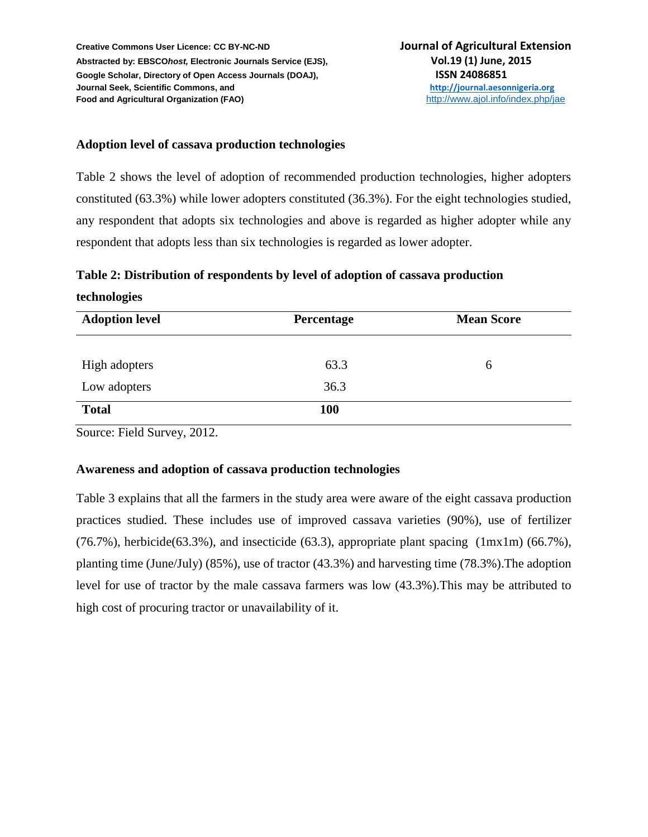## **Adoption level of cassava production technologies**

Table 2 shows the level of adoption of recommended production technologies, higher adopters constituted (63.3%) while lower adopters constituted (36.3%). For the eight technologies studied, any respondent that adopts six technologies and above is regarded as higher adopter while any respondent that adopts less than six technologies is regarded as lower adopter.

**Table 2: Distribution of respondents by level of adoption of cassava production** 

### **technologies**

| <b>Adoption level</b> | <b>Percentage</b> | <b>Mean Score</b> |
|-----------------------|-------------------|-------------------|
|                       |                   |                   |
| High adopters         | 63.3              | 6                 |
| Low adopters          | 36.3              |                   |
| <b>Total</b>          | <b>100</b>        |                   |

Source: Field Survey, 2012.

## **Awareness and adoption of cassava production technologies**

Table 3 explains that all the farmers in the study area were aware of the eight cassava production practices studied. These includes use of improved cassava varieties (90%), use of fertilizer  $(76.7\%)$ , herbicide(63.3%), and insecticide (63.3), appropriate plant spacing (1mx1m) (66.7%), planting time (June/July) (85%), use of tractor (43.3%) and harvesting time (78.3%).The adoption level for use of tractor by the male cassava farmers was low (43.3%).This may be attributed to high cost of procuring tractor or unavailability of it.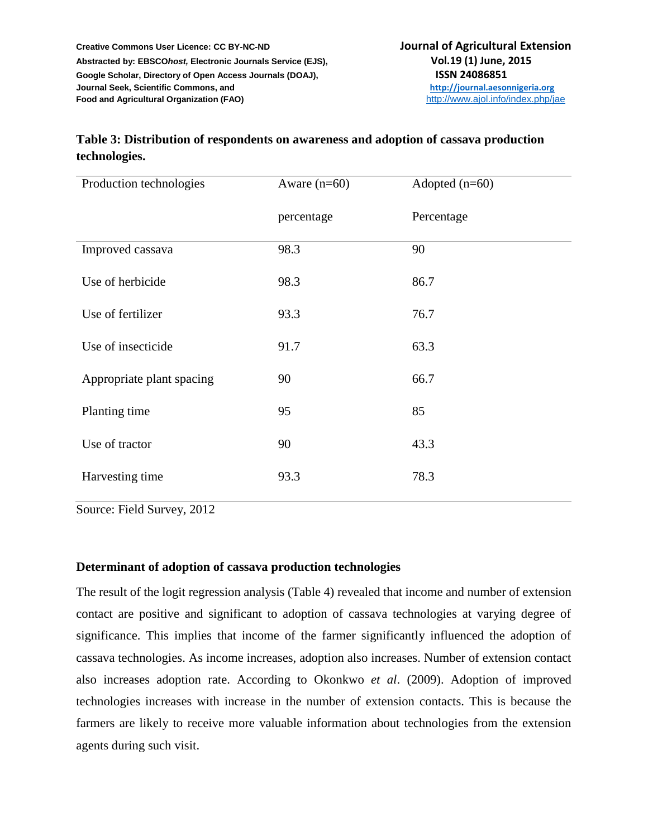# **Table 3: Distribution of respondents on awareness and adoption of cassava production technologies.**

| Production technologies   | Aware $(n=60)$ | Adopted $(n=60)$ |  |
|---------------------------|----------------|------------------|--|
|                           | percentage     | Percentage       |  |
| Improved cassava          | 98.3           | 90               |  |
| Use of herbicide          | 98.3           | 86.7             |  |
| Use of fertilizer         | 93.3           | 76.7             |  |
| Use of insecticide        | 91.7           | 63.3             |  |
| Appropriate plant spacing | 90             | 66.7             |  |
| Planting time             | 95             | 85               |  |
| Use of tractor            | 90             | 43.3             |  |
| Harvesting time           | 93.3           | 78.3             |  |

Source: Field Survey, 2012

## **Determinant of adoption of cassava production technologies**

The result of the logit regression analysis (Table 4) revealed that income and number of extension contact are positive and significant to adoption of cassava technologies at varying degree of significance. This implies that income of the farmer significantly influenced the adoption of cassava technologies. As income increases, adoption also increases. Number of extension contact also increases adoption rate. According to Okonkwo *et al*. (2009). Adoption of improved technologies increases with increase in the number of extension contacts. This is because the farmers are likely to receive more valuable information about technologies from the extension agents during such visit.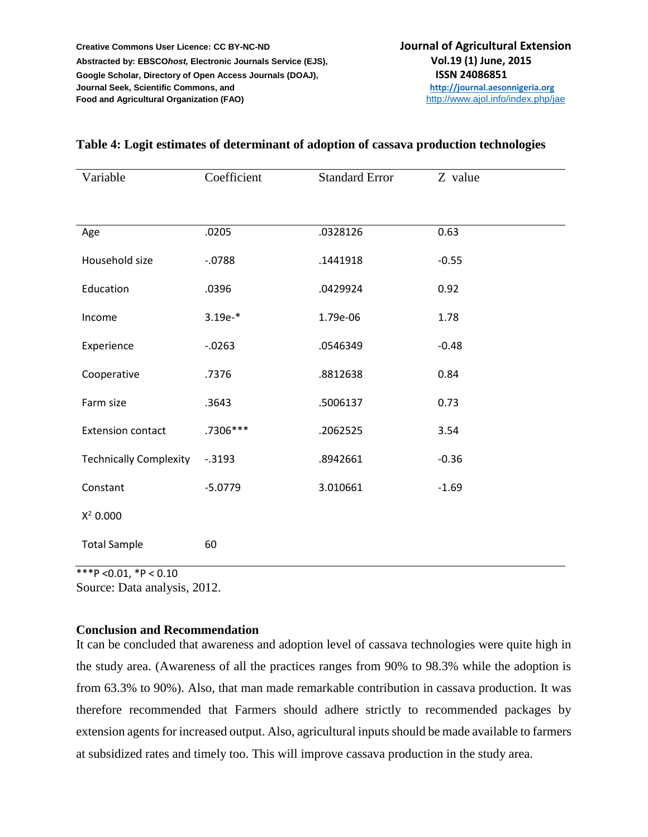| Variable                      | Coefficient | <b>Standard Error</b> | Z value |
|-------------------------------|-------------|-----------------------|---------|
|                               |             |                       |         |
| Age                           | .0205       | .0328126              | 0.63    |
| Household size                | $-0.788$    | .1441918              | $-0.55$ |
| Education                     | .0396       | .0429924              | 0.92    |
| Income                        | $3.19e-*$   | 1.79e-06              | 1.78    |
| Experience                    | $-.0263$    | .0546349              | $-0.48$ |
| Cooperative                   | .7376       | .8812638              | 0.84    |
| Farm size                     | .3643       | .5006137              | 0.73    |
| <b>Extension contact</b>      | .7306***    | .2062525              | 3.54    |
| <b>Technically Complexity</b> | $-0.3193$   | .8942661              | $-0.36$ |
| Constant                      | $-5.0779$   | 3.010661              | $-1.69$ |
| $X^2$ 0.000                   |             |                       |         |
| <b>Total Sample</b>           | 60          |                       |         |

## **Table 4: Logit estimates of determinant of adoption of cassava production technologies**

\*\*\*P <0.01, \*P < 0.10

Source: Data analysis, 2012.

## **Conclusion and Recommendation**

It can be concluded that awareness and adoption level of cassava technologies were quite high in the study area. (Awareness of all the practices ranges from 90% to 98.3% while the adoption is from 63.3% to 90%). Also, that man made remarkable contribution in cassava production. It was therefore recommended that Farmers should adhere strictly to recommended packages by extension agents for increased output. Also, agricultural inputs should be made available to farmers at subsidized rates and timely too. This will improve cassava production in the study area.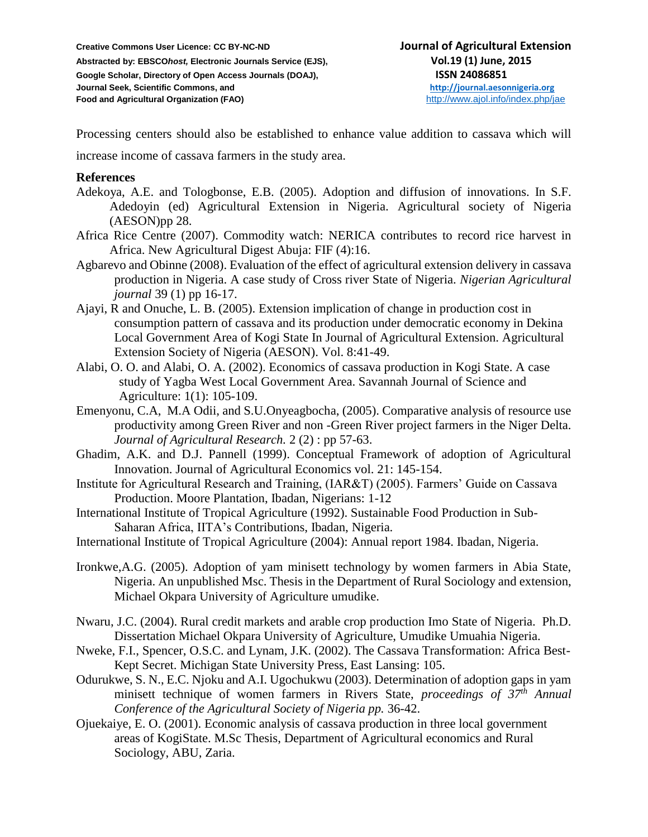Processing centers should also be established to enhance value addition to cassava which will

increase income of cassava farmers in the study area.

#### **References**

- Adekoya, A.E. and Tologbonse, E.B. (2005). Adoption and diffusion of innovations. In S.F. Adedoyin (ed) Agricultural Extension in Nigeria. Agricultural society of Nigeria (AESON)pp 28.
- Africa Rice Centre (2007). Commodity watch: NERICA contributes to record rice harvest in Africa. New Agricultural Digest Abuja: FIF (4):16.
- Agbarevo and Obinne (2008). Evaluation of the effect of agricultural extension delivery in cassava production in Nigeria. A case study of Cross river State of Nigeria. *Nigerian Agricultural journal* 39 (1) pp 16-17.
- Ajayi, R and Onuche, L. B. (2005). Extension implication of change in production cost in consumption pattern of cassava and its production under democratic economy in Dekina Local Government Area of Kogi State In Journal of Agricultural Extension. Agricultural Extension Society of Nigeria (AESON). Vol. 8:41-49.
- Alabi, O. O. and Alabi, O. A. (2002). Economics of cassava production in Kogi State. A case study of Yagba West Local Government Area. Savannah Journal of Science and Agriculture: 1(1): 105-109.
- Emenyonu, C.A, M.A Odii, and S.U.Onyeagbocha, (2005). Comparative analysis of resource use productivity among Green River and non -Green River project farmers in the Niger Delta. *Journal of Agricultural Research.* 2 (2) : pp 57-63.
- Ghadim, A.K. and D.J. Pannell (1999). Conceptual Framework of adoption of Agricultural Innovation. Journal of Agricultural Economics vol. 21: 145-154.
- Institute for Agricultural Research and Training, (IAR&T) (2005). Farmers' Guide on Cassava Production. Moore Plantation, Ibadan, Nigerians: 1-12
- International Institute of Tropical Agriculture (1992). Sustainable Food Production in Sub-Saharan Africa, IITA's Contributions, Ibadan, Nigeria.
- International Institute of Tropical Agriculture (2004): Annual report 1984. Ibadan, Nigeria.
- Ironkwe,A.G. (2005). Adoption of yam minisett technology by women farmers in Abia State, Nigeria. An unpublished Msc. Thesis in the Department of Rural Sociology and extension, Michael Okpara University of Agriculture umudike.
- Nwaru, J.C. (2004). Rural credit markets and arable crop production Imo State of Nigeria. Ph.D. Dissertation Michael Okpara University of Agriculture, Umudike Umuahia Nigeria.
- Nweke, F.I., Spencer, O.S.C. and Lynam, J.K. (2002). The Cassava Transformation: Africa Best-Kept Secret. Michigan State University Press, East Lansing: 105.
- Odurukwe, S. N., E.C. Njoku and A.I. Ugochukwu (2003). Determination of adoption gaps in yam minisett technique of women farmers in Rivers State, *proceedings of 37th Annual Conference of the Agricultural Society of Nigeria pp.* 36-42.
- Ojuekaiye, E. O. (2001). Economic analysis of cassava production in three local government areas of KogiState. M.Sc Thesis, Department of Agricultural economics and Rural Sociology, ABU, Zaria.